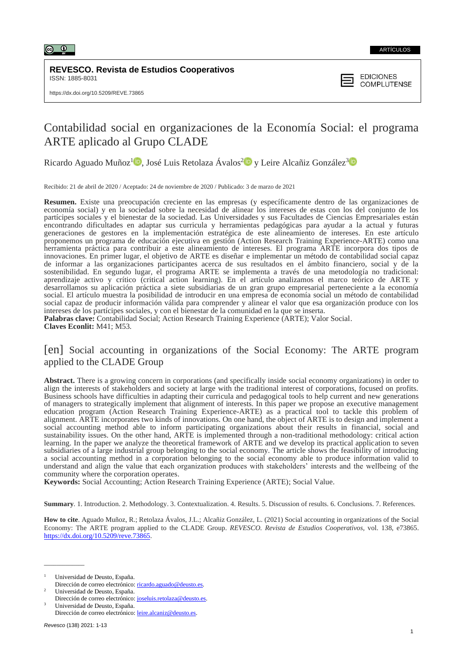

**REVESCO. Revista de Estudios Cooperativos** ISSN: 1885-8031

**EDICIONES COMPLUTENSE** 

# Contabilidad social en organizaciones de la Economía Social: el programa ARTE aplicado al Grupo CLADE

Ricardo Aguado Muñoz<sup>1</sup>D[,](https://orcid.org/0000-0002-2671-5691) José Luis Retolaza Ávalos<sup>[2](https://orcid.org/0000-0001-7089-4861)</sup>D y Leire Alcañiz González<sup>[3](https://orcid.org/0000-0002-4765-7953)</sup>

Recibido: 21 de abril de 2020 / Aceptado: 24 de noviembre de 2020 / Publicado: 3 de marzo de 2021

**Resumen.** Existe una preocupación creciente en las empresas (y específicamente dentro de las organizaciones de economía social) y en la sociedad sobre la necesidad de alinear los intereses de estas con los del conjunto de los partícipes sociales y el bienestar de la sociedad. Las Universidades y sus Facultades de Ciencias Empresariales están encontrando dificultades en adaptar sus curricula y herramientas pedagógicas para ayudar a la actual y futuras generaciones de gestores en la implementación estratégica de este alineamiento de intereses. En este artículo proponemos un programa de educación ejecutiva en gestión (Action Research Training Experience-ARTE) como una herramienta práctica para contribuir a este alineamiento de intereses. El programa ARTE incorpora dos tipos de innovaciones. En primer lugar, el objetivo de ARTE es diseñar e implementar un método de contabilidad social capaz de informar a las organizaciones participantes acerca de sus resultados en el ámbito financiero, social y de la sostenibilidad. En segundo lugar, el programa ARTE se implementa a través de una metodología no tradicional: aprendizaje activo y crítico (critical action learning). En el artículo analizamos el marco teórico de ARTE y desarrollamos su aplicación práctica a siete subsidiarias de un gran grupo empresarial perteneciente a la economía social. El artículo muestra la posibilidad de introducir en una empresa de economía social un método de contabilidad social capaz de producir información válida para comprender y alinear el valor que esa organización produce con los intereses de los partícipes sociales, y con el bienestar de la comunidad en la que se inserta.

**Palabras clave:** Contabilidad Social; Action Research Training Experience (ARTE); Valor Social. **Claves Econlit:** M41; M53*.*

## [en] Social accounting in organizations of the Social Economy: The ARTE program applied to the CLADE Group

**Abstract.** There is a growing concern in corporations (and specifically inside social economy organizations) in order to align the interests of stakeholders and society at large with the traditional interest of corporations, focused on profits. Business schools have difficulties in adapting their curricula and pedagogical tools to help current and new generations of managers to strategically implement that alignment of interests. In this paper we propose an executive management education program (Action Research Training Experience-ARTE) as a practical tool to tackle this problem of alignment. ARTE incorporates two kinds of innovations. On one hand, the object of ARTE is to design and implement a social accounting method able to inform participating organizations about their results in financial, social and sustainability issues. On the other hand, ARTE is implemented through a non-traditional methodology: critical action learning. In the paper we analyze the theoretical framework of ARTE and we develop its practical application to seven subsidiaries of a large industrial group belonging to the social economy. The article shows the feasibility of introducing a social accounting method in a corporation belonging to the social economy able to produce information valid to understand and align the value that each organization produces with stakeholders' interests and the wellbeing of the community where the corporation operates.

**Keywords:** Social Accounting; Action Research Training Experience (ARTE); Social Value.

**Summary**. 1. Introduction. 2. Methodology. 3. Contextualization. 4. Results. 5. Discussion of results. 6. Conclusions. 7. References.

**How to cite**. Aguado Muñoz, R.; Retolaza Ávalos, J.L.; Alcañiz González, L. (2021) Social accounting in organizations of the Social Economy: The ARTE program applied to the CLADE Group. *REVESCO. Revista de Estudios Cooperativos*, vol. 138, e73865. [https://dx.doi.org/10.5209/reve.73865.](https://dx.doi.org/10.5209/reve.73865)

<sup>1</sup> Universidad de Deusto, España. Dirección de correo electrónico: ricardo.aguado@deusto.es <sup>2</sup> Universidad de Deusto, España.

\_\_\_\_\_\_\_\_\_\_\_\_\_

Dirección de correo electrónico: [joseluis.retolaza@deusto.es.](mailto:joseluis.retolaza@deusto.es) <sup>3</sup> Universidad de Deusto, España.

Dirección de correo electrónico: [leire.alcaniz@deusto.es.](mailto:leire.alcaniz@deusto.es)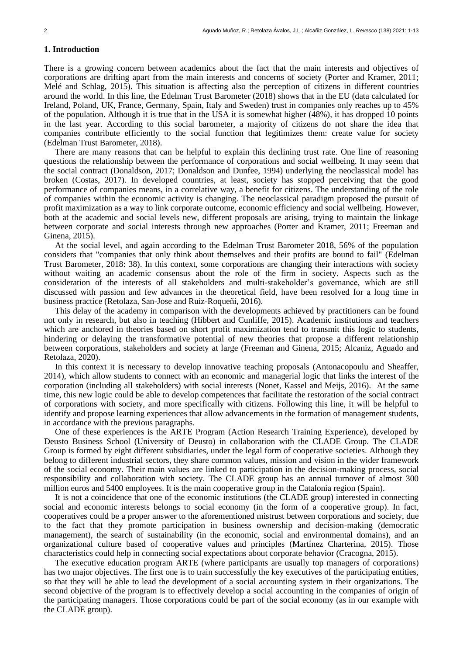## **1. Introduction**

There is a growing concern between academics about the fact that the main interests and objectives of corporations are drifting apart from the main interests and concerns of society (Porter and Kramer, 2011; Melé and Schlag, 2015). This situation is affecting also the perception of citizens in different countries around the world. In this line, the Edelman Trust Barometer (2018) shows that in the EU (data calculated for Ireland, Poland, UK, France, Germany, Spain, Italy and Sweden) trust in companies only reaches up to 45% of the population. Although it is true that in the USA it is somewhat higher  $(48%)$ , it has dropped 10 points in the last year. According to this social barometer, a majority of citizens do not share the idea that companies contribute efficiently to the social function that legitimizes them: create value for society (Edelman Trust Barometer, 2018).

There are many reasons that can be helpful to explain this declining trust rate. One line of reasoning questions the relationship between the performance of corporations and social wellbeing. It may seem that the social contract (Donaldson, 2017; Donaldson and Dunfee, 1994) underlying the neoclassical model has broken (Costas, 2017). In developed countries, at least, society has stopped perceiving that the good performance of companies means, in a correlative way, a benefit for citizens. The understanding of the role of companies within the economic activity is changing. The neoclassical paradigm proposed the pursuit of profit maximization as a way to link corporate outcome, economic efficiency and social wellbeing. However, both at the academic and social levels new, different proposals are arising, trying to maintain the linkage between corporate and social interests through new approaches (Porter and Kramer, 2011; Freeman and Ginena, 2015).

At the social level, and again according to the Edelman Trust Barometer 2018, 56% of the population considers that "companies that only think about themselves and their profits are bound to fail" (Edelman Trust Barometer, 2018: 38). In this context, some corporations are changing their interactions with society without waiting an academic consensus about the role of the firm in society. Aspects such as the consideration of the interests of all stakeholders and multi-stakeholder's governance, which are still discussed with passion and few advances in the theoretical field, have been resolved for a long time in business practice (Retolaza, San-Jose and Ruíz-Roqueñi, 2016).

This delay of the academy in comparison with the developments achieved by practitioners can be found not only in research, but also in teaching (Hibbert and Cunliffe, 2015). Academic institutions and teachers which are anchored in theories based on short profit maximization tend to transmit this logic to students, hindering or delaying the transformative potential of new theories that propose a different relationship between corporations, stakeholders and society at large (Freeman and Ginena, 2015; Alcaniz, Aguado and Retolaza, 2020).

In this context it is necessary to develop innovative teaching proposals (Antonacopoulu and Sheaffer, 2014), which allow students to connect with an economic and managerial logic that links the interest of the corporation (including all stakeholders) with social interests (Nonet, Kassel and Meijs, 2016). At the same time, this new logic could be able to develop competences that facilitate the restoration of the social contract of corporations with society, and more specifically with citizens. Following this line, it will be helpful to identify and propose learning experiences that allow advancements in the formation of management students, in accordance with the previous paragraphs.

One of these experiences is the ARTE Program (Action Research Training Experience), developed by Deusto Business School (University of Deusto) in collaboration with the CLADE Group. The CLADE Group is formed by eight different subsidiaries, under the legal form of cooperative societies. Although they belong to different industrial sectors, they share common values, mission and vision in the wider framework of the social economy. Their main values are linked to participation in the decision-making process, social responsibility and collaboration with society. The CLADE group has an annual turnover of almost 300 million euros and 5400 employees. It is the main cooperative group in the Catalonia region (Spain).

It is not a coincidence that one of the economic institutions (the CLADE group) interested in connecting social and economic interests belongs to social economy (in the form of a cooperative group). In fact, cooperatives could be a proper answer to the aforementioned mistrust between corporations and society, due to the fact that they promote participation in business ownership and decision-making (democratic management), the search of sustainability (in the economic, social and environmental domains), and an organizational culture based of cooperative values and principles (Martínez Charterina, 2015). Those characteristics could help in connecting social expectations about corporate behavior (Cracogna, 2015).

The executive education program ARTE (where participants are usually top managers of corporations) has two major objectives. The first one is to train successfully the key executives of the participating entities, so that they will be able to lead the development of a social accounting system in their organizations. The second objective of the program is to effectively develop a social accounting in the companies of origin of the participating managers. Those corporations could be part of the social economy (as in our example with the CLADE group).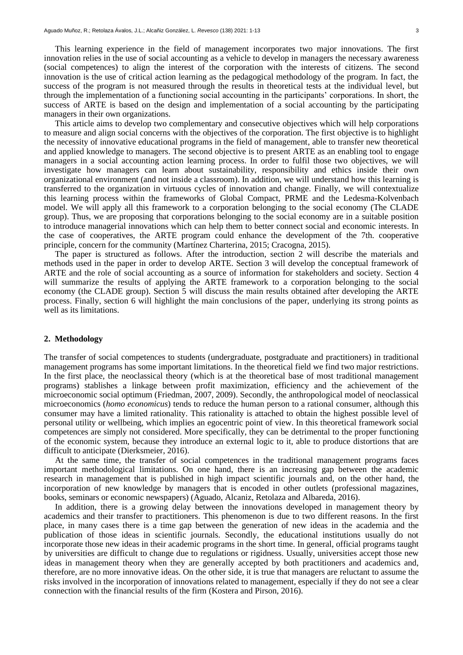This learning experience in the field of management incorporates two major innovations. The first innovation relies in the use of social accounting as a vehicle to develop in managers the necessary awareness (social competences) to align the interest of the corporation with the interests of citizens. The second innovation is the use of critical action learning as the pedagogical methodology of the program. In fact, the success of the program is not measured through the results in theoretical tests at the individual level, but through the implementation of a functioning social accounting in the participants' corporations. In short, the success of ARTE is based on the design and implementation of a social accounting by the participating managers in their own organizations.

This article aims to develop two complementary and consecutive objectives which will help corporations to measure and align social concerns with the objectives of the corporation. The first objective is to highlight the necessity of innovative educational programs in the field of management, able to transfer new theoretical and applied knowledge to managers. The second objective is to present ARTE as an enabling tool to engage managers in a social accounting action learning process. In order to fulfil those two objectives, we will investigate how managers can learn about sustainability, responsibility and ethics inside their own organizational environment (and not inside a classroom). In addition, we will understand how this learning is transferred to the organization in virtuous cycles of innovation and change. Finally, we will contextualize this learning process within the frameworks of Global Compact, PRME and the Ledesma-Kolvenbach model. We will apply all this framework to a corporation belonging to the social economy (The CLADE group). Thus, we are proposing that corporations belonging to the social economy are in a suitable position to introduce managerial innovations which can help them to better connect social and economic interests. In the case of cooperatives, the ARTE program could enhance the development of the 7th. cooperative principle, concern for the community (Martínez Charterina, 2015; Cracogna, 2015).

The paper is structured as follows. After the introduction, section 2 will describe the materials and methods used in the paper in order to develop ARTE. Section 3 will develop the conceptual framework of ARTE and the role of social accounting as a source of information for stakeholders and society. Section 4 will summarize the results of applying the ARTE framework to a corporation belonging to the social economy (the CLADE group). Section 5 will discuss the main results obtained after developing the ARTE process. Finally, section 6 will highlight the main conclusions of the paper, underlying its strong points as well as its limitations.

#### **2. Methodology**

The transfer of social competences to students (undergraduate, postgraduate and practitioners) in traditional management programs has some important limitations. In the theoretical field we find two major restrictions. In the first place, the neoclassical theory (which is at the theoretical base of most traditional management programs) stablishes a linkage between profit maximization, efficiency and the achievement of the microeconomic social optimum (Friedman, 2007, 2009). Secondly, the anthropological model of neoclassical microeconomics (*homo economicus*) tends to reduce the human person to a rational consumer, although this consumer may have a limited rationality. This rationality is attached to obtain the highest possible level of personal utility or wellbeing, which implies an egocentric point of view. In this theoretical framework social competences are simply not considered. More specifically, they can be detrimental to the proper functioning of the economic system, because they introduce an external logic to it, able to produce distortions that are difficult to anticipate (Dierksmeier, 2016).

At the same time, the transfer of social competences in the traditional management programs faces important methodological limitations. On one hand, there is an increasing gap between the academic research in management that is published in high impact scientific journals and, on the other hand, the incorporation of new knowledge by managers that is encoded in other outlets (professional magazines, books, seminars or economic newspapers) (Aguado, Alcaniz, Retolaza and Albareda, 2016).

In addition, there is a growing delay between the innovations developed in management theory by academics and their transfer to practitioners. This phenomenon is due to two different reasons. In the first place, in many cases there is a time gap between the generation of new ideas in the academia and the publication of those ideas in scientific journals. Secondly, the educational institutions usually do not incorporate those new ideas in their academic programs in the short time. In general, official programs taught by universities are difficult to change due to regulations or rigidness. Usually, universities accept those new ideas in management theory when they are generally accepted by both practitioners and academics and, therefore, are no more innovative ideas. On the other side, it is true that managers are reluctant to assume the risks involved in the incorporation of innovations related to management, especially if they do not see a clear connection with the financial results of the firm (Kostera and Pirson, 2016).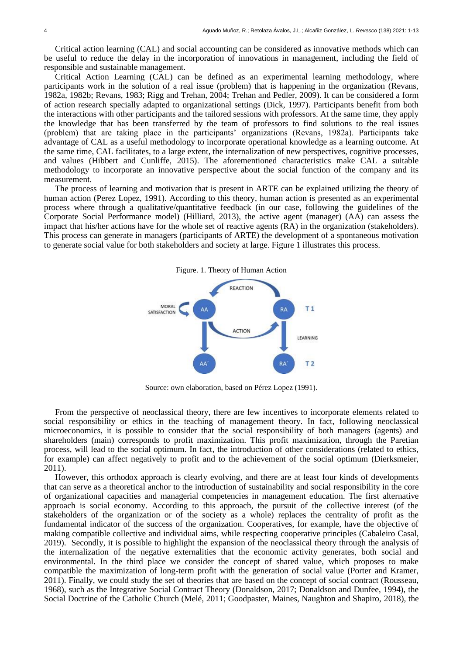Critical action learning (CAL) and social accounting can be considered as innovative methods which can be useful to reduce the delay in the incorporation of innovations in management, including the field of responsible and sustainable management.

Critical Action Learning (CAL) can be defined as an experimental learning methodology, where participants work in the solution of a real issue (problem) that is happening in the organization (Revans, 1982a, 1982b; Revans, 1983; Rigg and Trehan, 2004; Trehan and Pedler, 2009). It can be considered a form of action research specially adapted to organizational settings (Dick, 1997). Participants benefit from both the interactions with other participants and the tailored sessions with professors. At the same time, they apply the knowledge that has been transferred by the team of professors to find solutions to the real issues (problem) that are taking place in the participants' organizations (Revans, 1982a). Participants take advantage of CAL as a useful methodology to incorporate operational knowledge as a learning outcome. At the same time, CAL facilitates, to a large extent, the internalization of new perspectives, cognitive processes, and values (Hibbert and Cunliffe, 2015). The aforementioned characteristics make CAL a suitable methodology to incorporate an innovative perspective about the social function of the company and its measurement.

The process of learning and motivation that is present in ARTE can be explained utilizing the theory of human action (Perez Lopez, 1991). According to this theory, human action is presented as an experimental process where through a qualitative/quantitative feedback (in our case, following the guidelines of the Corporate Social Performance model) (Hilliard, 2013), the active agent (manager) (AA) can assess the impact that his/her actions have for the whole set of reactive agents (RA) in the organization (stakeholders). This process can generate in managers (participants of ARTE) the development of a spontaneous motivation to generate social value for both stakeholders and society at large. Figure 1 illustrates this process.





Source: own elaboration, based on Pérez Lopez (1991).

From the perspective of neoclassical theory, there are few incentives to incorporate elements related to social responsibility or ethics in the teaching of management theory. In fact, following neoclassical microeconomics, it is possible to consider that the social responsibility of both managers (agents) and shareholders (main) corresponds to profit maximization. This profit maximization, through the Paretian process, will lead to the social optimum. In fact, the introduction of other considerations (related to ethics, for example) can affect negatively to profit and to the achievement of the social optimum (Dierksmeier, 2011).

However, this orthodox approach is clearly evolving, and there are at least four kinds of developments that can serve as a theoretical anchor to the introduction of sustainability and social responsibility in the core of organizational capacities and managerial competencies in management education. The first alternative approach is social economy. According to this approach, the pursuit of the collective interest (of the stakeholders of the organization or of the society as a whole) replaces the centrality of profit as the fundamental indicator of the success of the organization. Cooperatives, for example, have the objective of making compatible collective and individual aims, while respecting cooperative principles (Cabaleiro Casal, 2019). Secondly, it is possible to highlight the expansion of the neoclassical theory through the analysis of the internalization of the negative externalities that the economic activity generates, both social and environmental. In the third place we consider the concept of shared value, which proposes to make compatible the maximization of long-term profit with the generation of social value (Porter and Kramer, 2011). Finally, we could study the set of theories that are based on the concept of social contract (Rousseau, 1968), such as the Integrative Social Contract Theory (Donaldson, 2017; Donaldson and Dunfee, 1994), the Social Doctrine of the Catholic Church (Melé, 2011; Goodpaster, Maines, Naughton and Shapiro, 2018), the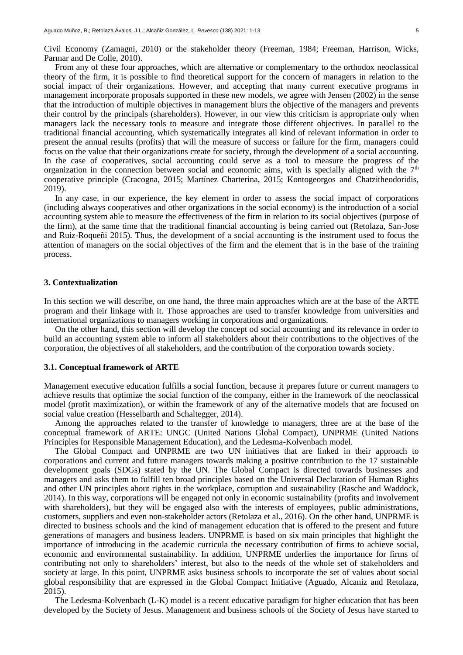Civil Economy (Zamagni, 2010) or the stakeholder theory (Freeman, 1984; Freeman, Harrison, Wicks, Parmar and De Colle, 2010).

From any of these four approaches, which are alternative or complementary to the orthodox neoclassical theory of the firm, it is possible to find theoretical support for the concern of managers in relation to the social impact of their organizations. However, and accepting that many current executive programs in management incorporate proposals supported in these new models, we agree with Jensen (2002) in the sense that the introduction of multiple objectives in management blurs the objective of the managers and prevents their control by the principals (shareholders). However, in our view this criticism is appropriate only when managers lack the necessary tools to measure and integrate those different objectives. In parallel to the traditional financial accounting, which systematically integrates all kind of relevant information in order to present the annual results (profits) that will the measure of success or failure for the firm, managers could focus on the value that their organizations create for society, through the development of a social accounting. In the case of cooperatives, social accounting could serve as a tool to measure the progress of the organization in the connection between social and economic aims, with is specially aligned with the  $7<sup>th</sup>$ cooperative principle (Cracogna, 2015; Martínez Charterina, 2015; Kontogeorgos and Chatzitheodoridis, 2019).

In any case, in our experience, the key element in order to assess the social impact of corporations (including always cooperatives and other organizations in the social economy) is the introduction of a social accounting system able to measure the effectiveness of the firm in relation to its social objectives (purpose of the firm), at the same time that the traditional financial accounting is being carried out (Retolaza, San-Jose and Ruiz-Roqueñi 2015). Thus, the development of a social accounting is the instrument used to focus the attention of managers on the social objectives of the firm and the element that is in the base of the training process.

#### **3. Contextualization**

In this section we will describe, on one hand, the three main approaches which are at the base of the ARTE program and their linkage with it. Those approaches are used to transfer knowledge from universities and international organizations to managers working in corporations and organizations.

On the other hand, this section will develop the concept od social accounting and its relevance in order to build an accounting system able to inform all stakeholders about their contributions to the objectives of the corporation, the objectives of all stakeholders, and the contribution of the corporation towards society.

#### **3.1. Conceptual framework of ARTE**

Management executive education fulfills a social function, because it prepares future or current managers to achieve results that optimize the social function of the company, either in the framework of the neoclassical model (profit maximization), or within the framework of any of the alternative models that are focused on social value creation (Hesselbarth and Schaltegger, 2014).

Among the approaches related to the transfer of knowledge to managers, three are at the base of the conceptual framework of ARTE: UNGC (United Nations Global Compact), UNPRME (United Nations Principles for Responsible Management Education), and the Ledesma-Kolvenbach model.

The Global Compact and UNPRME are two UN initiatives that are linked in their approach to corporations and current and future managers towards making a positive contribution to the 17 sustainable development goals (SDGs) stated by the UN. The Global Compact is directed towards businesses and managers and asks them to fulfill ten broad principles based on the Universal Declaration of Human Rights and other UN principles about rights in the workplace, corruption and sustainability (Rasche and Waddock, 2014). In this way, corporations will be engaged not only in economic sustainability (profits and involvement with shareholders), but they will be engaged also with the interests of employees, public administrations, customers, suppliers and even non-stakeholder actors (Retolaza et al., 2016). On the other hand, UNPRME is directed to business schools and the kind of management education that is offered to the present and future generations of managers and business leaders. UNPRME is based on six main principles that highlight the importance of introducing in the academic curricula the necessary contribution of firms to achieve social, economic and environmental sustainability. In addition, UNPRME underlies the importance for firms of contributing not only to shareholders' interest, but also to the needs of the whole set of stakeholders and society at large. In this point, UNPRME asks business schools to incorporate the set of values about social global responsibility that are expressed in the Global Compact Initiative (Aguado, Alcaniz and Retolaza, 2015).

The Ledesma-Kolvenbach (L-K) model is a recent educative paradigm for higher education that has been developed by the Society of Jesus. Management and business schools of the Society of Jesus have started to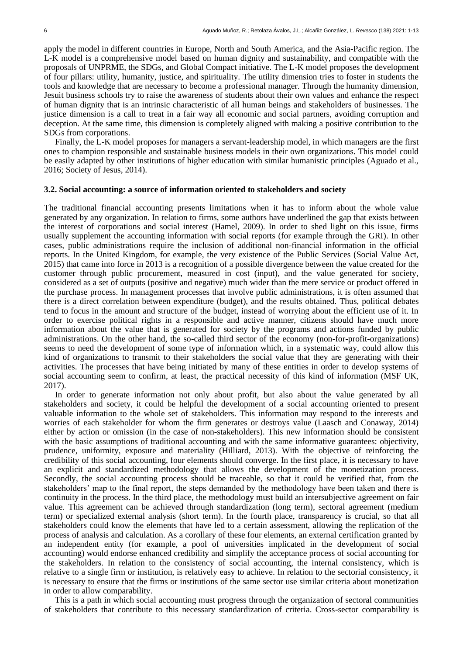apply the model in different countries in Europe, North and South America, and the Asia-Pacific region. The L-K model is a comprehensive model based on human dignity and sustainability, and compatible with the proposals of UNPRME, the SDGs, and Global Compact initiative. The L-K model proposes the development of four pillars: utility, humanity, justice, and spirituality. The utility dimension tries to foster in students the tools and knowledge that are necessary to become a professional manager. Through the humanity dimension, Jesuit business schools try to raise the awareness of students about their own values and enhance the respect of human dignity that is an intrinsic characteristic of all human beings and stakeholders of businesses. The justice dimension is a call to treat in a fair way all economic and social partners, avoiding corruption and deception. At the same time, this dimension is completely aligned with making a positive contribution to the SDGs from corporations.

Finally, the L-K model proposes for managers a servant-leadership model, in which managers are the first ones to champion responsible and sustainable business models in their own organizations. This model could be easily adapted by other institutions of higher education with similar humanistic principles (Aguado et al., 2016; Society of Jesus, 2014).

#### **3.2. Social accounting: a source of information oriented to stakeholders and society**

The traditional financial accounting presents limitations when it has to inform about the whole value generated by any organization. In relation to firms, some authors have underlined the gap that exists between the interest of corporations and social interest (Hamel, 2009). In order to shed light on this issue, firms usually supplement the accounting information with social reports (for example through the GRI). In other cases, public administrations require the inclusion of additional non-financial information in the official reports. In the United Kingdom, for example, the very existence of the Public Services (Social Value Act, 2015) that came into force in 2013 is a recognition of a possible divergence between the value created for the customer through public procurement, measured in cost (input), and the value generated for society, considered as a set of outputs (positive and negative) much wider than the mere service or product offered in the purchase process. In management processes that involve public administrations, it is often assumed that there is a direct correlation between expenditure (budget), and the results obtained. Thus, political debates tend to focus in the amount and structure of the budget, instead of worrying about the efficient use of it. In order to exercise political rights in a responsible and active manner, citizens should have much more information about the value that is generated for society by the programs and actions funded by public administrations. On the other hand, the so-called third sector of the economy (non-for-profit-organizations) seems to need the development of some type of information which, in a systematic way, could allow this kind of organizations to transmit to their stakeholders the social value that they are generating with their activities. The processes that have being initiated by many of these entities in order to develop systems of social accounting seem to confirm, at least, the practical necessity of this kind of information (MSF UK, 2017).

In order to generate information not only about profit, but also about the value generated by all stakeholders and society, it could be helpful the development of a social accounting oriented to present valuable information to the whole set of stakeholders. This information may respond to the interests and worries of each stakeholder for whom the firm generates or destroys value (Laasch and Conaway, 2014) either by action or omission (in the case of non-stakeholders). This new information should be consistent with the basic assumptions of traditional accounting and with the same informative guarantees: objectivity, prudence, uniformity, exposure and materiality (Hilliard, 2013). With the objective of reinforcing the credibility of this social accounting, four elements should converge. In the first place, it is necessary to have an explicit and standardized methodology that allows the development of the monetization process. Secondly, the social accounting process should be traceable, so that it could be verified that, from the stakeholders' map to the final report, the steps demanded by the methodology have been taken and there is continuity in the process. In the third place, the methodology must build an intersubjective agreement on fair value. This agreement can be achieved through standardization (long term), sectoral agreement (medium term) or specialized external analysis (short term). In the fourth place, transparency is crucial, so that all stakeholders could know the elements that have led to a certain assessment, allowing the replication of the process of analysis and calculation. As a corollary of these four elements, an external certification granted by an independent entity (for example, a pool of universities implicated in the development of social accounting) would endorse enhanced credibility and simplify the acceptance process of social accounting for the stakeholders. In relation to the consistency of social accounting, the internal consistency, which is relative to a single firm or institution, is relatively easy to achieve. In relation to the sectorial consistency, it is necessary to ensure that the firms or institutions of the same sector use similar criteria about monetization in order to allow comparability.

This is a path in which social accounting must progress through the organization of sectoral communities of stakeholders that contribute to this necessary standardization of criteria. Cross-sector comparability is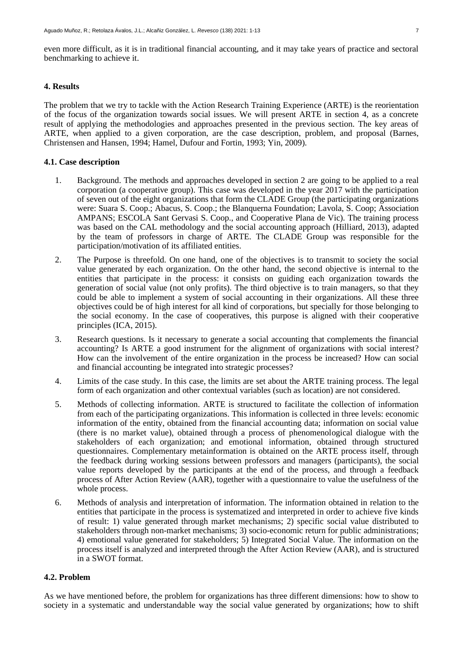even more difficult, as it is in traditional financial accounting, and it may take years of practice and sectoral benchmarking to achieve it.

## **4. Results**

The problem that we try to tackle with the Action Research Training Experience (ARTE) is the reorientation of the focus of the organization towards social issues. We will present ARTE in section 4, as a concrete result of applying the methodologies and approaches presented in the previous section. The key areas of ARTE, when applied to a given corporation, are the case description, problem, and proposal (Barnes, Christensen and Hansen, 1994; Hamel, Dufour and Fortin, 1993; Yin, 2009).

## **4.1. Case description**

- 1. Background. The methods and approaches developed in section 2 are going to be applied to a real corporation (a cooperative group). This case was developed in the year 2017 with the participation of seven out of the eight organizations that form the CLADE Group (the participating organizations were: Suara S. Coop.; Abacus, S. Coop.; the Blanquerna Foundation; Lavola, S. Coop; Association AMPANS; ESCOLA Sant Gervasi S. Coop., and Cooperative Plana de Vic). The training process was based on the CAL methodology and the social accounting approach (Hilliard, 2013), adapted by the team of professors in charge of ARTE. The CLADE Group was responsible for the participation/motivation of its affiliated entities.
- 2. The Purpose is threefold. On one hand, one of the objectives is to transmit to society the social value generated by each organization. On the other hand, the second objective is internal to the entities that participate in the process: it consists on guiding each organization towards the generation of social value (not only profits). The third objective is to train managers, so that they could be able to implement a system of social accounting in their organizations. All these three objectives could be of high interest for all kind of corporations, but specially for those belonging to the social economy. In the case of cooperatives, this purpose is aligned with their cooperative principles (ICA, 2015).
- 3. Research questions. Is it necessary to generate a social accounting that complements the financial accounting? Is ARTE a good instrument for the alignment of organizations with social interest? How can the involvement of the entire organization in the process be increased? How can social and financial accounting be integrated into strategic processes?
- 4. Limits of the case study. In this case, the limits are set about the ARTE training process. The legal form of each organization and other contextual variables (such as location) are not considered.
- 5. Methods of collecting information. ARTE is structured to facilitate the collection of information from each of the participating organizations. This information is collected in three levels: economic information of the entity, obtained from the financial accounting data; information on social value (there is no market value), obtained through a process of phenomenological dialogue with the stakeholders of each organization; and emotional information, obtained through structured questionnaires. Complementary metainformation is obtained on the ARTE process itself, through the feedback during working sessions between professors and managers (participants), the social value reports developed by the participants at the end of the process, and through a feedback process of After Action Review (AAR), together with a questionnaire to value the usefulness of the whole process.
- 6. Methods of analysis and interpretation of information. The information obtained in relation to the entities that participate in the process is systematized and interpreted in order to achieve five kinds of result: 1) value generated through market mechanisms; 2) specific social value distributed to stakeholders through non-market mechanisms; 3) socio-economic return for public administrations; 4) emotional value generated for stakeholders; 5) Integrated Social Value. The information on the process itself is analyzed and interpreted through the After Action Review (AAR), and is structured in a SWOT format.

## **4.2. Problem**

As we have mentioned before, the problem for organizations has three different dimensions: how to show to society in a systematic and understandable way the social value generated by organizations; how to shift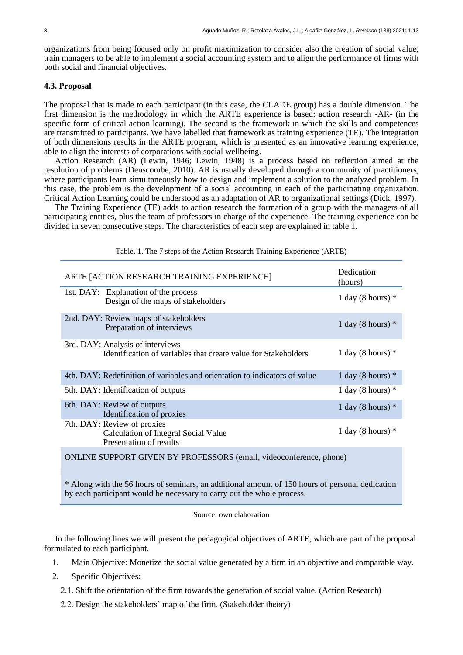organizations from being focused only on profit maximization to consider also the creation of social value; train managers to be able to implement a social accounting system and to align the performance of firms with both social and financial objectives.

### **4.3. Proposal**

The proposal that is made to each participant (in this case, the CLADE group) has a double dimension. The first dimension is the methodology in which the ARTE experience is based: action research -AR- (in the specific form of critical action learning). The second is the framework in which the skills and competences are transmitted to participants. We have labelled that framework as training experience (TE). The integration of both dimensions results in the ARTE program, which is presented as an innovative learning experience, able to align the interests of corporations with social wellbeing.

Action Research (AR) (Lewin, 1946; Lewin, 1948) is a process based on reflection aimed at the resolution of problems (Denscombe, 2010). AR is usually developed through a community of practitioners, where participants learn simultaneously how to design and implement a solution to the analyzed problem. In this case, the problem is the development of a social accounting in each of the participating organization. Critical Action Learning could be understood as an adaptation of AR to organizational settings (Dick, 1997).

The Training Experience (TE) adds to action research the formation of a group with the managers of all participating entities, plus the team of professors in charge of the experience. The training experience can be divided in seven consecutive steps. The characteristics of each step are explained in table 1.

| ARTE [ACTION RESEARCH TRAINING EXPERIENCE]                                                         | Dedication<br>(hours) |
|----------------------------------------------------------------------------------------------------|-----------------------|
| 1st. DAY: Explanation of the process<br>Design of the maps of stakeholders                         | 1 day (8 hours) $*$   |
| 2nd. DAY: Review maps of stakeholders<br>Preparation of interviews                                 | 1 day (8 hours) $*$   |
| 3rd. DAY: Analysis of interviews<br>Identification of variables that create value for Stakeholders | 1 day (8 hours) $*$   |
| 4th. DAY: Redefinition of variables and orientation to indicators of value                         | 1 day (8 hours) $*$   |
| 5th. DAY: Identification of outputs                                                                | 1 day (8 hours) $*$   |
| 6th. DAY: Review of outputs.<br>Identification of proxies                                          | 1 day (8 hours) $*$   |
| 7th. DAY: Review of proxies<br>Calculation of Integral Social Value<br>Presentation of results     | 1 day (8 hours) $*$   |
| ONLINE SUPPORT GIVEN BY PROFESSORS (email, videoconference, phone)                                 |                       |

Table. 1. The 7 steps of the Action Research Training Experience (ARTE)

\* Along with the 56 hours of seminars, an additional amount of 150 hours of personal dedication by each participant would be necessary to carry out the whole process.

#### Source: own elaboration

In the following lines we will present the pedagogical objectives of ARTE, which are part of the proposal formulated to each participant.

- 1. Main Objective: Monetize the social value generated by a firm in an objective and comparable way.
- 2. Specific Objectives:
	- 2.1. Shift the orientation of the firm towards the generation of social value. (Action Research)
	- 2.2. Design the stakeholders' map of the firm. (Stakeholder theory)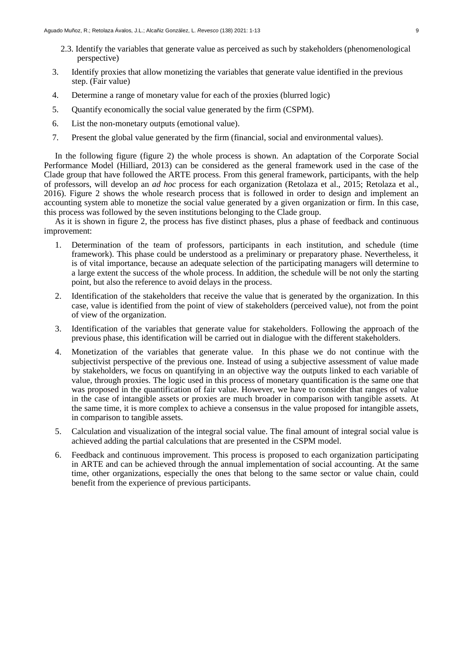- 2.3. Identify the variables that generate value as perceived as such by stakeholders (phenomenological perspective)
- 3. Identify proxies that allow monetizing the variables that generate value identified in the previous step. (Fair value)
- 4. Determine a range of monetary value for each of the proxies (blurred logic)
- 5. Quantify economically the social value generated by the firm (CSPM).
- 6. List the non-monetary outputs (emotional value).
- 7. Present the global value generated by the firm (financial, social and environmental values).

In the following figure (figure 2) the whole process is shown. An adaptation of the Corporate Social Performance Model (Hilliard, 2013) can be considered as the general framework used in the case of the Clade group that have followed the ARTE process. From this general framework, participants, with the help of professors, will develop an *ad hoc* process for each organization (Retolaza et al., 2015; Retolaza et al., 2016). Figure 2 shows the whole research process that is followed in order to design and implement an accounting system able to monetize the social value generated by a given organization or firm. In this case, this process was followed by the seven institutions belonging to the Clade group.

As it is shown in figure 2, the process has five distinct phases, plus a phase of feedback and continuous improvement:

- 1. Determination of the team of professors, participants in each institution, and schedule (time framework). This phase could be understood as a preliminary or preparatory phase. Nevertheless, it is of vital importance, because an adequate selection of the participating managers will determine to a large extent the success of the whole process. In addition, the schedule will be not only the starting point, but also the reference to avoid delays in the process.
- 2. Identification of the stakeholders that receive the value that is generated by the organization. In this case, value is identified from the point of view of stakeholders (perceived value), not from the point of view of the organization.
- 3. Identification of the variables that generate value for stakeholders. Following the approach of the previous phase, this identification will be carried out in dialogue with the different stakeholders.
- 4. Monetization of the variables that generate value. In this phase we do not continue with the subjectivist perspective of the previous one. Instead of using a subjective assessment of value made by stakeholders, we focus on quantifying in an objective way the outputs linked to each variable of value, through proxies. The logic used in this process of monetary quantification is the same one that was proposed in the quantification of fair value. However, we have to consider that ranges of value in the case of intangible assets or proxies are much broader in comparison with tangible assets. At the same time, it is more complex to achieve a consensus in the value proposed for intangible assets, in comparison to tangible assets.
- 5. Calculation and visualization of the integral social value. The final amount of integral social value is achieved adding the partial calculations that are presented in the CSPM model.
- 6. Feedback and continuous improvement. This process is proposed to each organization participating in ARTE and can be achieved through the annual implementation of social accounting. At the same time, other organizations, especially the ones that belong to the same sector or value chain, could benefit from the experience of previous participants.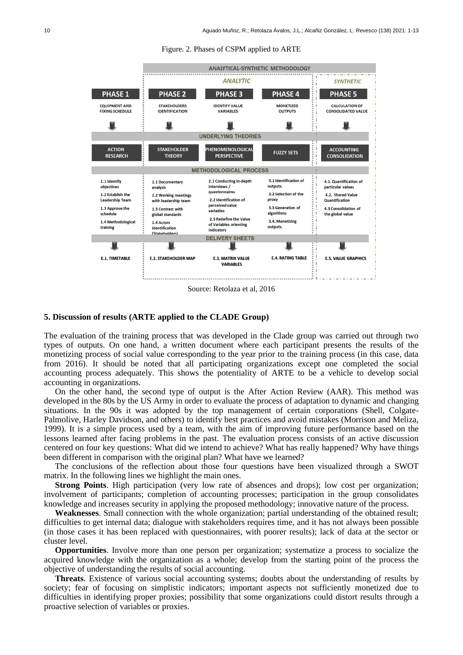

Figure. 2. Phases of CSPM applied to ARTE

Source: Retolaza et al, 2016

#### **5. Discussion of results (ARTE applied to the CLADE Group)**

The evaluation of the training process that was developed in the Clade group was carried out through two types of outputs. On one hand, a written document where each participant presents the results of the monetizing process of social value corresponding to the year prior to the training process (in this case, data from 2016). It should be noted that all participating organizations except one completed the social accounting process adequately. This shows the potentiality of ARTE to be a vehicle to develop social accounting in organizations.

On the other hand, the second type of output is the After Action Review (AAR). This method was developed in the 80s by the US Army in order to evaluate the process of adaptation to dynamic and changing situations. In the 90s it was adopted by the top management of certain corporations (Shell, Colgate-Palmolive, Harley Davidson, and others) to identify best practices and avoid mistakes (Morrison and Meliza, 1999). It is a simple process used by a team, with the aim of improving future performance based on the lessons learned after facing problems in the past. The evaluation process consists of an active discussion centered on four key questions: What did we intend to achieve? What has really happened? Why have things been different in comparison with the original plan? What have we learned?

The conclusions of the reflection about those four questions have been visualized through a SWOT matrix. In the following lines we highlight the main ones.

**Strong Points**. High participation (very low rate of absences and drops); low cost per organization; involvement of participants; completion of accounting processes; participation in the group consolidates knowledge and increases security in applying the proposed methodology; innovative nature of the process.

**Weaknesses**. Small connection with the whole organization; partial understanding of the obtained result; difficulties to get internal data; dialogue with stakeholders requires time, and it has not always been possible (in those cases it has been replaced with questionnaires, with poorer results); lack of data at the sector or cluster level.

**Opportunities**. Involve more than one person per organization; systematize a process to socialize the acquired knowledge with the organization as a whole; develop from the starting point of the process the objective of understanding the results of social accounting.

**Threats**. Existence of various social accounting systems; doubts about the understanding of results by society; fear of focusing on simplistic indicators; important aspects not sufficiently monetized due to difficulties in identifying proper proxies; possibility that some organizations could distort results through a proactive selection of variables or proxies.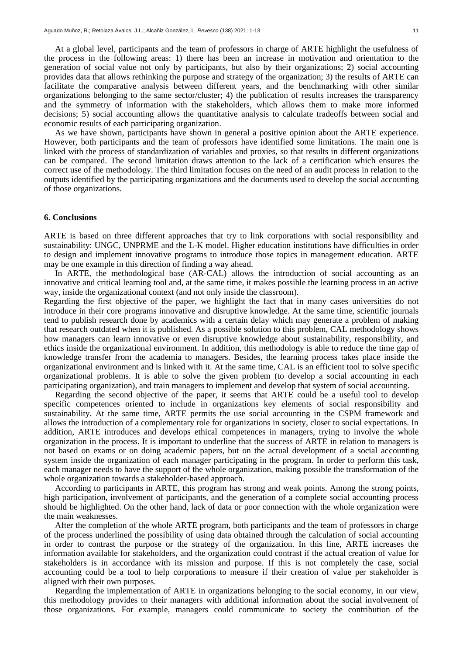At a global level, participants and the team of professors in charge of ARTE highlight the usefulness of the process in the following areas: 1) there has been an increase in motivation and orientation to the generation of social value not only by participants, but also by their organizations; 2) social accounting provides data that allows rethinking the purpose and strategy of the organization; 3) the results of ARTE can facilitate the comparative analysis between different years, and the benchmarking with other similar organizations belonging to the same sector/cluster; 4) the publication of results increases the transparency and the symmetry of information with the stakeholders, which allows them to make more informed decisions; 5) social accounting allows the quantitative analysis to calculate tradeoffs between social and economic results of each participating organization.

As we have shown, participants have shown in general a positive opinion about the ARTE experience. However, both participants and the team of professors have identified some limitations. The main one is linked with the process of standardization of variables and proxies, so that results in different organizations can be compared. The second limitation draws attention to the lack of a certification which ensures the correct use of the methodology. The third limitation focuses on the need of an audit process in relation to the outputs identified by the participating organizations and the documents used to develop the social accounting of those organizations.

## **6. Conclusions**

ARTE is based on three different approaches that try to link corporations with social responsibility and sustainability: UNGC, UNPRME and the L-K model. Higher education institutions have difficulties in order to design and implement innovative programs to introduce those topics in management education. ARTE may be one example in this direction of finding a way ahead.

In ARTE, the methodological base (AR-CAL) allows the introduction of social accounting as an innovative and critical learning tool and, at the same time, it makes possible the learning process in an active way, inside the organizational context (and not only inside the classroom).

Regarding the first objective of the paper, we highlight the fact that in many cases universities do not introduce in their core programs innovative and disruptive knowledge. At the same time, scientific journals tend to publish research done by academics with a certain delay which may generate a problem of making that research outdated when it is published. As a possible solution to this problem, CAL methodology shows how managers can learn innovative or even disruptive knowledge about sustainability, responsibility, and ethics inside the organizational environment. In addition, this methodology is able to reduce the time gap of knowledge transfer from the academia to managers. Besides, the learning process takes place inside the organizational environment and is linked with it. At the same time, CAL is an efficient tool to solve specific organizational problems. It is able to solve the given problem (to develop a social accounting in each participating organization), and train managers to implement and develop that system of social accounting.

Regarding the second objective of the paper, it seems that ARTE could be a useful tool to develop specific competences oriented to include in organizations key elements of social responsibility and sustainability. At the same time, ARTE permits the use social accounting in the CSPM framework and allows the introduction of a complementary role for organizations in society, closer to social expectations. In addition, ARTE introduces and develops ethical competences in managers, trying to involve the whole organization in the process. It is important to underline that the success of ARTE in relation to managers is not based on exams or on doing academic papers, but on the actual development of a social accounting system inside the organization of each manager participating in the program. In order to perform this task, each manager needs to have the support of the whole organization, making possible the transformation of the whole organization towards a stakeholder-based approach.

According to participants in ARTE, this program has strong and weak points. Among the strong points, high participation, involvement of participants, and the generation of a complete social accounting process should be highlighted. On the other hand, lack of data or poor connection with the whole organization were the main weaknesses.

After the completion of the whole ARTE program, both participants and the team of professors in charge of the process underlined the possibility of using data obtained through the calculation of social accounting in order to contrast the purpose or the strategy of the organization. In this line, ARTE increases the information available for stakeholders, and the organization could contrast if the actual creation of value for stakeholders is in accordance with its mission and purpose. If this is not completely the case, social accounting could be a tool to help corporations to measure if their creation of value per stakeholder is aligned with their own purposes.

Regarding the implementation of ARTE in organizations belonging to the social economy, in our view, this methodology provides to their managers with additional information about the social involvement of those organizations. For example, managers could communicate to society the contribution of the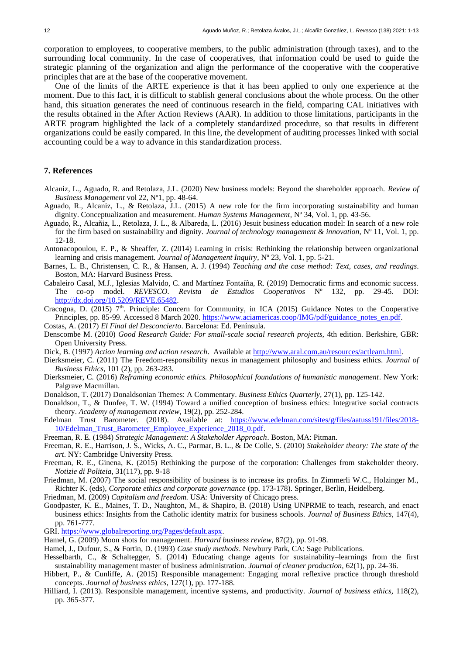corporation to employees, to cooperative members, to the public administration (through taxes), and to the surrounding local community. In the case of cooperatives, that information could be used to guide the strategic planning of the organization and align the performance of the cooperative with the cooperative principles that are at the base of the cooperative movement.

One of the limits of the ARTE experience is that it has been applied to only one experience at the moment. Due to this fact, it is difficult to stablish general conclusions about the whole process. On the other hand, this situation generates the need of continuous research in the field, comparing CAL initiatives with the results obtained in the After Action Reviews (AAR). In addition to those limitations, participants in the ARTE program highlighted the lack of a completely standardized procedure, so that results in different organizations could be easily compared. In this line, the development of auditing processes linked with social accounting could be a way to advance in this standardization process.

## **7. References**

- Alcaniz, L., Aguado, R. and Retolaza, J.L. (2020) New business models: Beyond the shareholder approach. *Review of Business Management* vol 22, Nº1, pp. 48-64.
- Aguado, R., Alcaniz, L., & Retolaza, J.L. (2015) A new role for the firm incorporating sustainability and human dignity. Conceptualization and measurement. *Human Systems Management,* Nº 34, Vol. 1, pp. 43-56.
- Aguado, R., Alcañiz, L., Retolaza, J. L., & Albareda, L. (2016) Jesuit business education model: In search of a new role for the firm based on sustainability and dignity. *Journal of technology management & innovation*, N° 11, Vol. 1, pp. 12-18.
- Antonacopoulou, E. P., & Sheaffer, Z. (2014) Learning in crisis: Rethinking the relationship between organizational learning and crisis management. *Journal of Management Inquiry,* Nº 23, Vol. 1, pp. 5-21.
- Barnes, L. B., Christensen, C. R., & Hansen, A. J. (1994) *Teaching and the case method: Text, cases, and readings*. Boston, MA: Harvard Business Press.
- Cabaleiro Casal, M.J., Iglesias Malvido, C. and Martínez Fontaíña, R. (2019) Democratic firms and economic success. The co-op model. *REVESCO. Revista de Estudios Cooperativos* Nº 132, pp. 29-45. DOI: [http://dx.doi.org/10.5209/REVE.65482.](http://dx.doi.org/10.5209/REVE.65482)
- Cracogna, D. (2015)  $7<sup>th</sup>$ . Principle: Concern for Community, in ICA (2015) Guidance Notes to the Cooperative Principles, pp. 85-99. Accessed 8 March 2020. [https://www.aciamericas.coop/IMG/pdf/guidance\\_notes\\_en.pdf.](https://www.aciamericas.coop/IMG/pdf/guidance_notes_en.pdf)
- Costas, A. (2017) *El Final del Desconcierto*. Barcelona: Ed. Península.
- Denscombe M. (2010) *Good Research Guide: For small-scale social research projects,* 4th edition. Berkshire, GBR: Open University Press.
- Dick, B. (1997) *Action learning and action research*. Available at [http://www.aral.com.au/resources/actlearn.html.](http://www.aral.com.au/resources/actlearn.html)
- Dierksmeier, C. (2011) The Freedom-responsibility nexus in management philosophy and business ethics. *Journal of Business Ethics,* 101 (2), pp. 263-283.
- Dierksmeier, C. (2016) *Reframing economic ethics. Philosophical foundations of humanistic management*. New York: Palgrave Macmillan.
- Donaldson, T. (2017) Donaldsonian Themes: A Commentary. *Business Ethics Quarterly,* 27(1), pp. 125-142.
- Donaldson, T., & Dunfee, T. W. (1994) Toward a unified conception of business ethics: Integrative social contracts theory. *Academy of management review,* 19(2), pp. 252-284.
- Edelman Trust Barometer. (2018). Available at: [https://www.edelman.com/sites/g/files/aatuss191/files/2018-](https://www.edelman.com/sites/g/files/aatuss191/files/2018-10/Edelman_Trust_Barometer_Employee_Experience_2018_0.pdf) [10/Edelman\\_Trust\\_Barometer\\_Employee\\_Experience\\_2018\\_0.pdf.](https://www.edelman.com/sites/g/files/aatuss191/files/2018-10/Edelman_Trust_Barometer_Employee_Experience_2018_0.pdf)
- Freeman, R. E. (1984) *Strategic Management: A Stakeholder Approach*. Boston, MA: Pitman.
- Freeman, R. E., Harrison, J. S., Wicks, A. C., Parmar, B. L., & De Colle, S. (2010) *Stakeholder theory: The state of the art*. NY: Cambridge University Press.
- Freeman, R. E., Ginena, K. (2015) Rethinking the purpose of the corporation: Challenges from stakeholder theory. *Notizie di Politeia,* 31(117), pp. 9-18
- Friedman, M. (2007) The social responsibility of business is to increase its profits. In Zimmerli W.C., Holzinger M., Richter K. (eds), *Corporate ethics and corporate governance* (pp. 173-178). Springer, Berlin, Heidelberg.
- Friedman, M. (2009) *Capitalism and freedom.* USA: University of Chicago press.
- Goodpaster, K. E., Maines, T. D., Naughton, M., & Shapiro, B. (2018) Using UNPRME to teach, research, and enact business ethics: Insights from the Catholic identity matrix for business schools. *Journal of Business Ethics,* 147(4), pp. 761-777.
- GRI. [https://www.globalreporting.org/Pages/default.aspx.](https://www.globalreporting.org/Pages/default.aspx)
- Hamel, G. (2009) Moon shots for management. *Harvard business review,* 87(2), pp. 91-98.
- Hamel, J., Dufour, S., & Fortin, D. (1993) *Case study methods*. Newbury Park, CA: Sage Publications.
- Hesselbarth, C., & Schaltegger, S. (2014) Educating change agents for sustainability–learnings from the first sustainability management master of business administration. *Journal of cleaner production,* 62(1), pp. 24-36.
- Hibbert, P., & Cunliffe, A. (2015) Responsible management: Engaging moral reflexive practice through threshold concepts. *Journal of business ethics,* 127(1), pp. 177-188.
- Hilliard, I. (2013). Responsible management, incentive systems, and productivity. *Journal of business ethics,* 118(2), pp. 365-377.